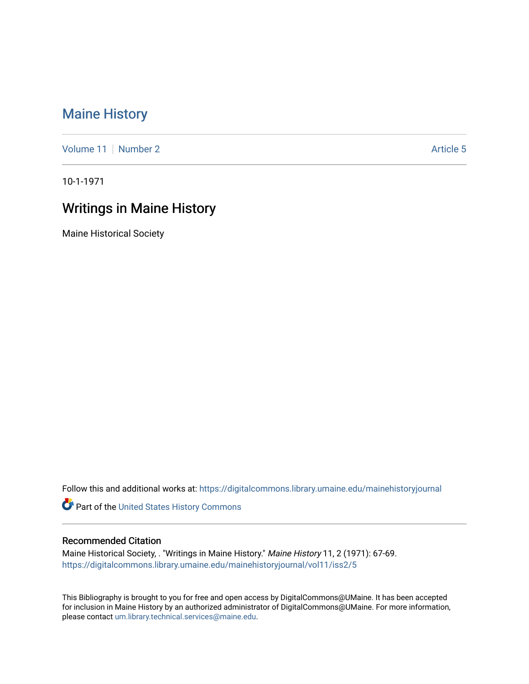## [Maine History](https://digitalcommons.library.umaine.edu/mainehistoryjournal)

[Volume 11](https://digitalcommons.library.umaine.edu/mainehistoryjournal/vol11) [Number 2](https://digitalcommons.library.umaine.edu/mainehistoryjournal/vol11/iss2) Article 5

10-1-1971

## Writings in Maine History

Maine Historical Society

Follow this and additional works at: [https://digitalcommons.library.umaine.edu/mainehistoryjournal](https://digitalcommons.library.umaine.edu/mainehistoryjournal?utm_source=digitalcommons.library.umaine.edu%2Fmainehistoryjournal%2Fvol11%2Fiss2%2F5&utm_medium=PDF&utm_campaign=PDFCoverPages) 

Part of the [United States History Commons](http://network.bepress.com/hgg/discipline/495?utm_source=digitalcommons.library.umaine.edu%2Fmainehistoryjournal%2Fvol11%2Fiss2%2F5&utm_medium=PDF&utm_campaign=PDFCoverPages) 

## Recommended Citation

Maine Historical Society, . "Writings in Maine History." Maine History 11, 2 (1971): 67-69. [https://digitalcommons.library.umaine.edu/mainehistoryjournal/vol11/iss2/5](https://digitalcommons.library.umaine.edu/mainehistoryjournal/vol11/iss2/5?utm_source=digitalcommons.library.umaine.edu%2Fmainehistoryjournal%2Fvol11%2Fiss2%2F5&utm_medium=PDF&utm_campaign=PDFCoverPages)

This Bibliography is brought to you for free and open access by DigitalCommons@UMaine. It has been accepted for inclusion in Maine History by an authorized administrator of DigitalCommons@UMaine. For more information, please contact [um.library.technical.services@maine.edu.](mailto:um.library.technical.services@maine.edu)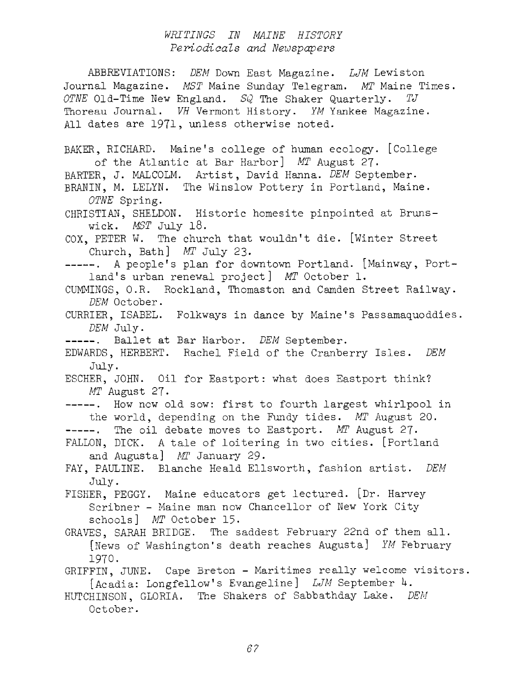## *WRITINGS IN MAINE HISTORY Periodicals and Newspapers*

ABBREVIATIONS: *DEM* Down East Magazine. *LJM* Lewiston Journal Magazine. *MST* Maine Sunday Telegram. *MT* Maine Times. *OTNE* Old-Time New England. *SQ* The Shaker Quarterly. *TJ* Thoreau Journal. *VH* Vermont History. *YM* Yankee Magazine. All dates are 1971, unless otherwise noted. BAKER, RICHARD. Maine'<sup>s</sup> college of human ecology. [College of the Atlantic at Bar Harbor] *MT* August 27- BARTER, J. MALCOLM. Artist, David Hanna. *DEM* September-BRANIN, M. LELYN. The Winslow Pottery in Portland, Maine. *OTNE* Spring. CHRISTIAN, SHELDON. Historic homesite pinpointed at Brunswick. *MST* July 18. COX, PETER W. The church that wouldn't die. [Winter Street Church, Bath] *MT* July 23- -----. A people's plan for downtown Portland. [Mainway, Portland'<sup>s</sup> urban renewal project] *MT* October 1. CUMMINGS, O.R. Rockland, Thomaston and Camden Street Railway. *DEM* October - CURRIER, ISABEL. Folkways in dance by Maine'<sup>s</sup> Passamaquoddies. *DEM* July. ------. Ballet at Bar Harbor. *DEM* September. EDWARDS, HERBERT. Rachel Field of the Cranberry Isles. *DEM* July. ESCHER, JOHN. Oil for Eastport: what does Eastport think? *MT* August 27- ----. How now old sow: first to fourth largest whirlpool in the world, depending on the Fundy tides. *MT* August 20. -----. The oil debate moves to Eastport. MT August 27. FALLON, DICK. <sup>A</sup> tale of loitering in two cities. [Portland and Augusta] *MT* January 29. FAY, PAULINE. Blanche Heald Ellsworth, fashion artist. *DEM* July. FISHER, PEGGY. Maine educators get lectured. [Dr. Harvey Scribner - Maine man now Chancellor of New York City schools] *MT* October 15. GRAVES, SARAH BRIDGE. The saddest February 22nd of them all. [News of Washington'<sup>s</sup> death reaches Augusta] *YM* February 1970. GRIFFIN, JUNE. Cape Breton - Maritimes really welcome visitors. [Acadia: Longfellow'<sup>s</sup> Evangeline] *LJM* September U. HUTCHINSON, GLORIA. The Shakers of Sabbathday Lake. *DEM* October.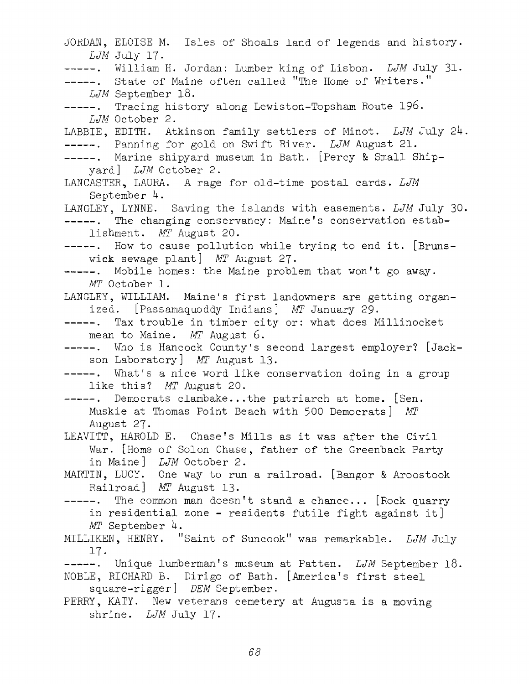JORDAN, ELOISE M. Isles of Shoals land of legends and history. *LJM* July 17. -----. William H. Jordan: Lumber king of Lisbon. *LJM* July 31. -----. State of Maine often called "The Home of Writers." *LJM* September 18. ------ . Tracing history along Lewiston-Topsham Route 196. *LJM* October 2. LABBIE, EDITH. Atkinson family settlers of Minot. *LJM* July 2^. Panning for gold on Swift River. *LJM* August 21. -----. Marine shipyard museum in Bath. [Percy & Small Shipyard] *LJM* October 2. LANCASTER, LAURA. A rage for old-time postal cards. *LJM* September  $4.$ LANGLEY, LYNNE. Saving the islands with easements. *LJM* July 30. -----. The changing conservancy: Maine's conservation establishment. *MT* August 20. -----. How to cause pollution while trying to end it. [Brunswick sewage plant] *MT* August 27. -----. Mobile homes: the Maine problem that won't go away. *MT* October 1. LANGLEY, WILLIAM. Maine's first landowners are getting organized. [Passamaquoddy Indians] *MT* January 29. ------ . Tax trouble in timber city or: what does Millinocket mean to Maine. *MT* August 6. ------ . Who is Hancock County'<sup>s</sup> second largest employer? [Jackson Laboratory] *MT* August 13. -----. What's a nice word like conservation doing in a group like this? *MT* August 20. -----. Democrats clambake...the patriarch at home. [Sen. Muskie at Thomas Point Beach with 500 Democrats] *MT* MARTIN, LUCY. One way to run a railroad. [Bangor & Aroostook August 27. LEAVITT, HAROLD E. Chase'<sup>s</sup> Mills as it was after the Civil War. [Home of Solon Chase, father of the Greenback Party in Maine] *LJM* October 2. Railroad<sup>]</sup> *MT* August 13.  $---$ . The common man doesn't stand a chance... [Rock quarry in residential zone - residents futile fight against it] *MT* September 4. MILLIKEN, HENRY. "Saint of Suncook" was remarkable. *LJM* July 17- -----. Unique lumberman's museum at Patten. *LJM* September 18. NOBLE, RICHARD B. Dirigo of Bath. [America'<sup>s</sup> first steel square-rigger] *DEM* September. PERRY, KATY. New veterans cemetery at Augusta is a moving shrine. *LJM* July 17